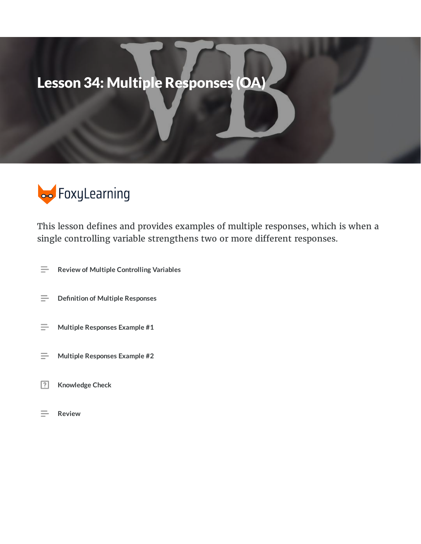# Lesson 34: Multiple Responses (OA)



This lesson defines and provides examples of multiple responses, which is when a single controlling variable strengthens two or more different responses.

- **Review of Multiple Controlling Variables**  $\equiv$
- $\equiv$ **Definition of Multiple Responses**
- $\equiv$ **Multiple Responses Example #1**
- **Multiple Responses Example #2**  $\equiv$
- $\boxed{?}$ **Knowledge Check**
- $=$ **Review**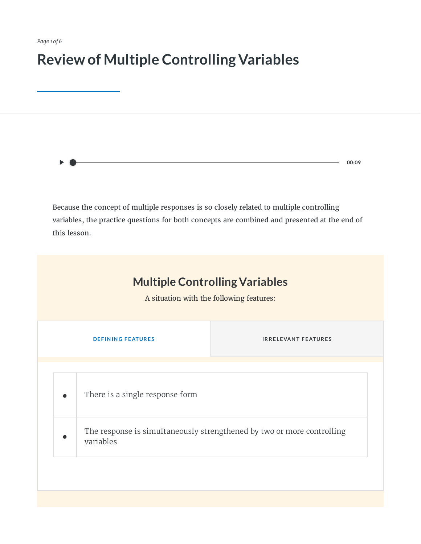*Page 1 of 6*

# **Review of Multiple Controlling Variables**

Because the concept of multiple responses is so closely related to multiple controlling variables, the practice questions for both concepts are combined and presented at the end of this lesson.

**00:09**

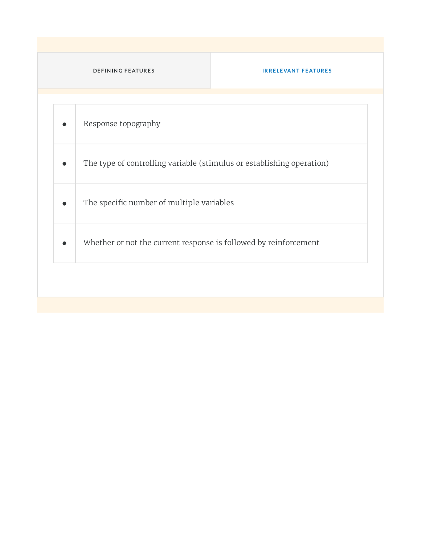#### **DE F IN IN G F E ATUR E S IR R E LE VAN T F E ATUR E S**

| The type of controlling variable (stimulus or establishing operation) |
|-----------------------------------------------------------------------|
| The specific number of multiple variables                             |
| Whether or not the current response is followed by reinforcement      |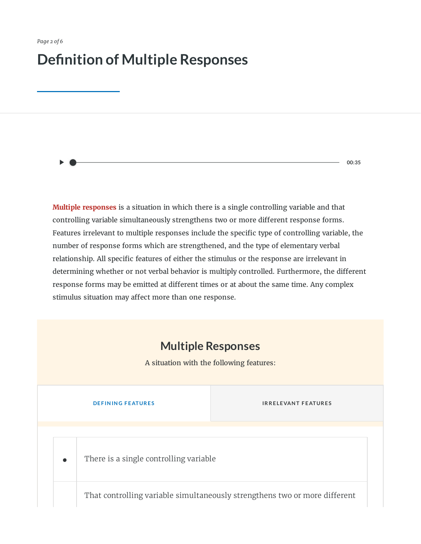## **Definition of Multiple Responses**

**00:35**

**Multiple responses** is a situation in which there is a single controlling variable and that controlling variable simultaneously strengthens two or more different response forms. Features irrelevant to multiple responses include the specific type of controlling variable, the number of response forms which are strengthened, and the type of elementary verbal relationship. All specific features of either the stimulus or the response are irrelevant in determining whether or not verbal behavior is multiply controlled. Furthermore, the different response forms may be emitted at different times or at about the same time. Any complex stimulus situation may affect more than one response.

#### **Multiple Responses**

A situation with the following features:

**•**

**INRELEVANT FEATURES** 

There is a single controlling variable

That controlling variable simultaneously strengthens two or more different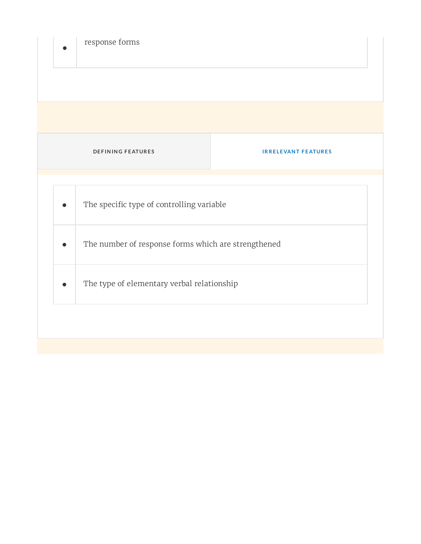| <b>DEFINING FEATURES</b><br><b>IRRELEVANT FEATURES</b> |  |
|--------------------------------------------------------|--|
|                                                        |  |
| The specific type of controlling variable              |  |
| The number of response forms which are strengthened    |  |
| The type of elementary verbal relationship             |  |
|                                                        |  |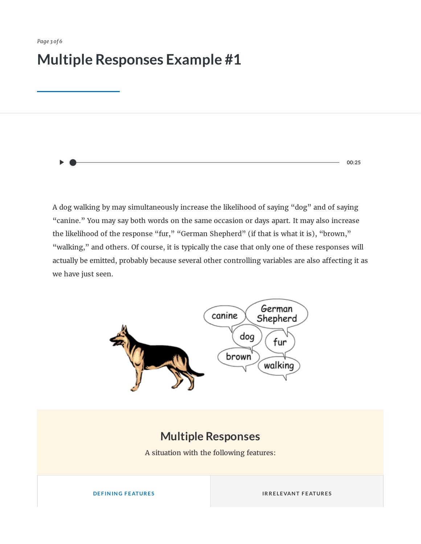## **Multiple Responses Example #1**

**00:25**

A dog walking by may simultaneously increase the likelihood of saying "dog" and of saying "canine." You may say both words on the same occasion or days apart. It may also increase the likelihood of the response "fur," "German Shepherd" (if that is what it is), "brown," "walking," and others. Of course, it is typically the case that only one of these responses will actually be emitted, probably because several other controlling variables are also affecting it as we have just seen.



### **Multiple Responses**

A situation with the following features:

**INRELEVANT FEATURES**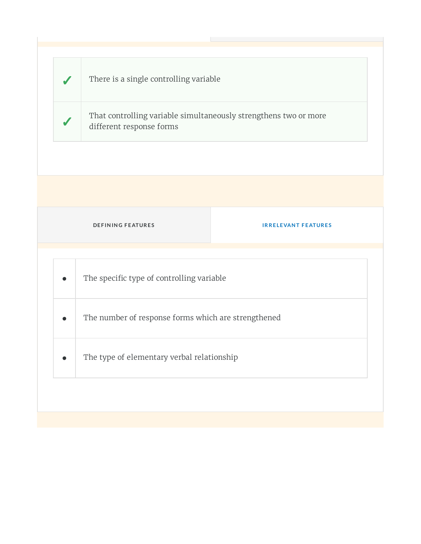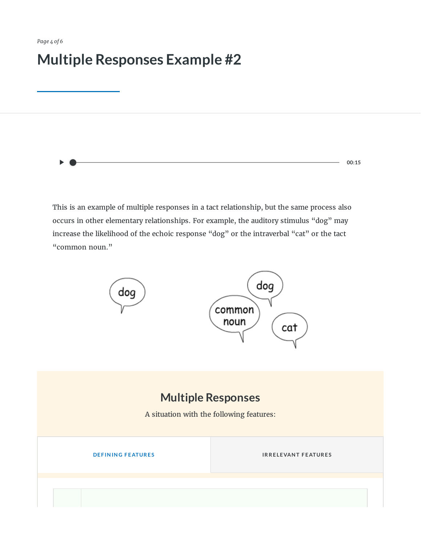## **Multiple Responses Example #2**

**00:15**

This is an example of multiple responses in a tact relationship, but the same process also occurs in other elementary relationships. For example, the auditory stimulus "dog" may increase the likelihood of the echoic response "dog" or the intraverbal "cat" or the tact "common noun."



### **Multiple Responses**

A situation with the following features:

**IRRELEVANT FEATURES**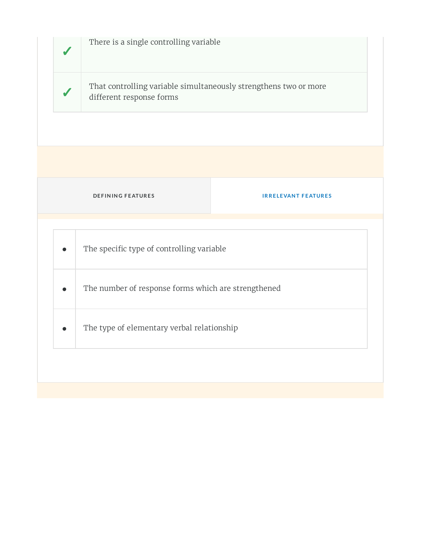|                                            | There is a single controlling variable                                                       |                            |
|--------------------------------------------|----------------------------------------------------------------------------------------------|----------------------------|
|                                            | That controlling variable simultaneously strengthens two or more<br>different response forms |                            |
|                                            |                                                                                              |                            |
|                                            |                                                                                              |                            |
|                                            | <b>DEFINING FEATURES</b>                                                                     | <b>IRRELEVANT FEATURES</b> |
|                                            |                                                                                              |                            |
|                                            | The specific type of controlling variable                                                    |                            |
|                                            | The number of response forms which are strengthened                                          |                            |
| The type of elementary verbal relationship |                                                                                              |                            |
|                                            |                                                                                              |                            |
|                                            |                                                                                              |                            |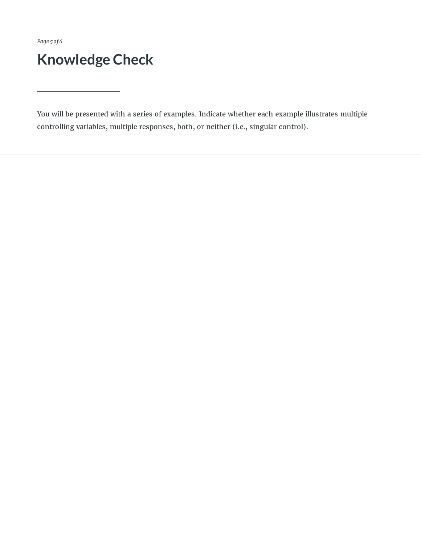*Page 5 of 6*

# **Knowledge Check**

You will be presented with a series of examples. Indicate whether each example illustrates multiple controlling variables, multiple responses, both, or neither (i.e., singular control).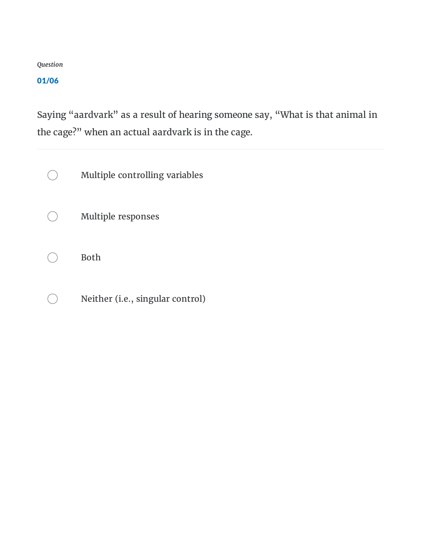#### 01/06

Saying "aardvark" as a result of hearing someone say, "What is that animal in the cage?" when an actual aardvark is in the cage.

Multiple controlling variables  $\bigcirc$ 

Multiple responses  $( )$ 

Both  $( )$ 

Neither (i.e., singular control) $( )$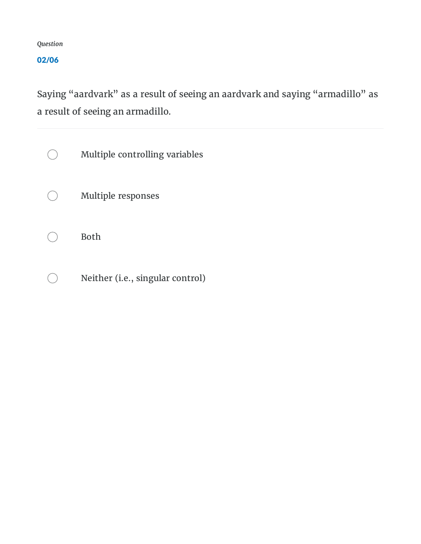02/06

Saying "aardvark" as a result of seeing an aardvark and saying "armadillo" as a result of seeing an armadillo.

Multiple controlling variables  $\bigcirc$ Multiple responses Both Neither (i.e., singular control) $\bigcirc$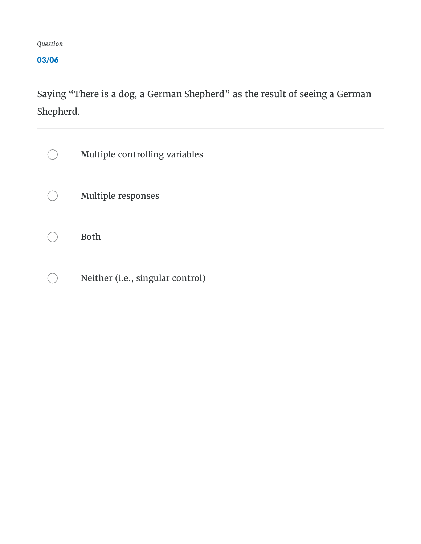03/06

Saying "There is a dog, a German Shepherd" as the result of seeing a German Shepherd.

| Multiple controlling variables   |
|----------------------------------|
| <b>Multiple responses</b>        |
| <b>Both</b>                      |
| Neither (i.e., singular control) |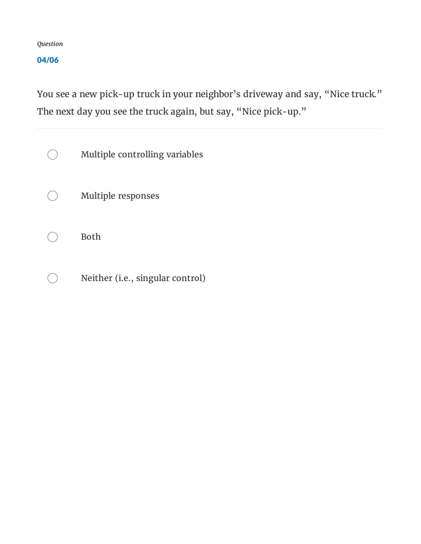04/06

You see a new pick-up truck in your neighbor's driveway and say, "Nice truck." The next day you see the truck again, but say, "Nice pick-up."

| Multiple controlling variables   |
|----------------------------------|
| <b>Multiple responses</b>        |
| <b>Both</b>                      |
| Neither (i.e., singular control) |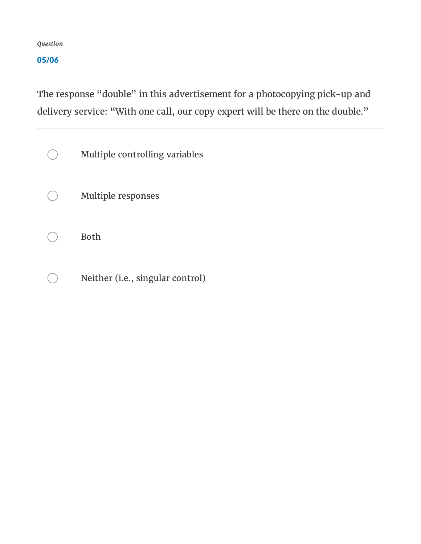05/06

The response "double" in this advertisement for a photocopying pick-up and delivery service: "With one call, our copy expert will be there on the double."

| Multiple controlling variables   |
|----------------------------------|
| <b>Multiple responses</b>        |
| <b>Both</b>                      |
| Neither (i.e., singular control) |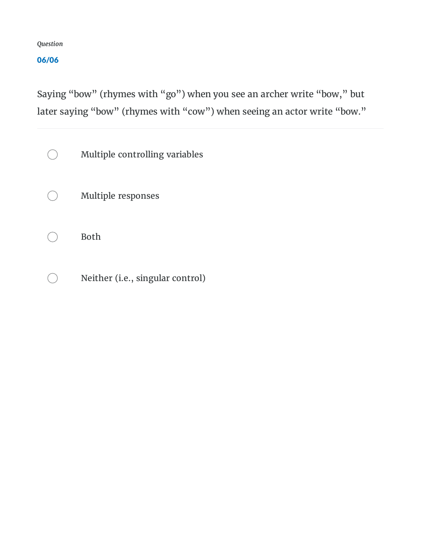#### 06/06

Saying "bow" (rhymes with "go") when you see an archer write "bow, " but later saying "bow" (rhymes with "cow") when seeing an actor write "bow."

| Multiple controlling variables   |
|----------------------------------|
| <b>Multiple responses</b>        |
| <b>Both</b>                      |
| Neither (i.e., singular control) |